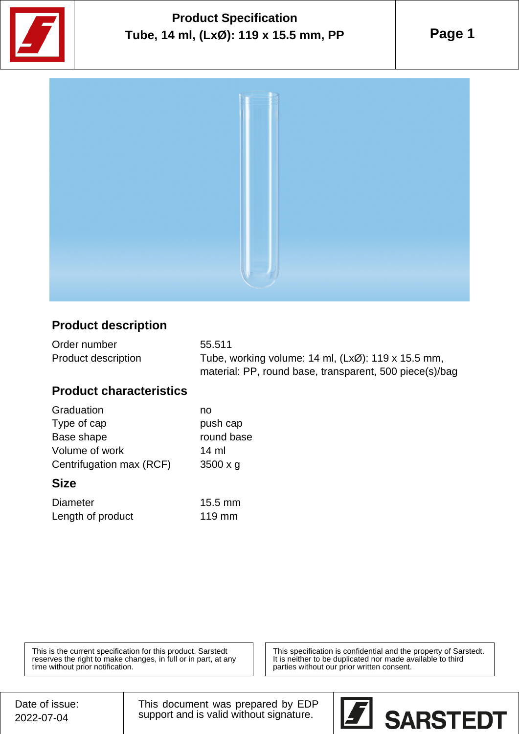

# **Product Specification Tube, 14 ml, (LxØ): 119 x 15.5 mm, PP**

**Page 1**



### **Product description**

| Order number               | 55.511                                                          |
|----------------------------|-----------------------------------------------------------------|
| <b>Product description</b> | Tube, working volume: 14 ml, $(Lx\varnothing)$ : 119 x 15.5 mm, |
|                            | material: PP, round base, transparent, 500 piece(s)/bag         |

#### **Product characteristics**

| Graduation               | no              |
|--------------------------|-----------------|
| Type of cap              | push cap        |
| Base shape               | round base      |
| Volume of work           | 14 ml           |
| Centrifugation max (RCF) | $3500 \times g$ |
|                          |                 |

#### **Size**

| <b>Diameter</b>   | $15.5 \text{ mm}$ |
|-------------------|-------------------|
| Length of product | $119$ mm          |

This is the current specification for this product. Sarstedt reserves the right to make changes, in full or in part, at any time without prior notification.

This specification is **confidential** and the property of Sarstedt. It is neither to be duplicated nor made available to third parties without our prior written consent.

This document was prepared by EDP support and is valid without signature.